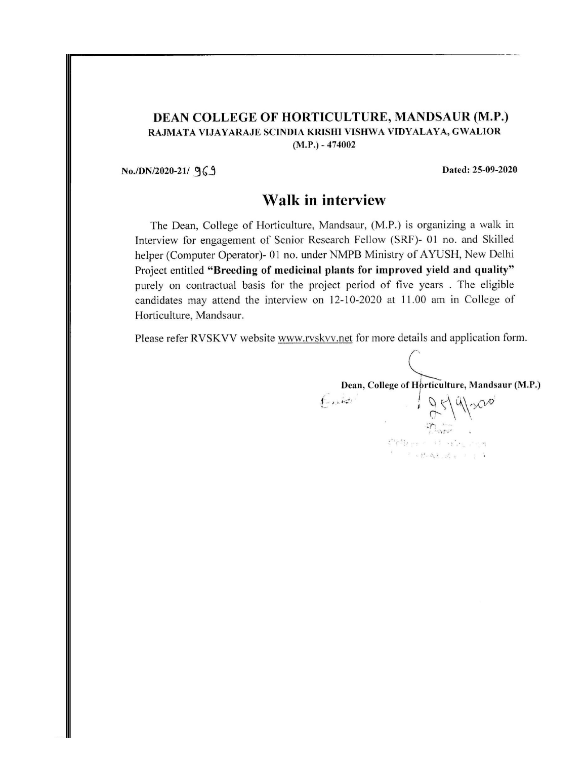#### DEAN COLLEGE OF HORTICULTURE, MANDSAUR (M.P.) RAJMATA VIJAYARAJE SCINDIA KRISHI VISHWA VIDYALAYA, GWALIOR  $(M.P.) - 474002$

No./DN/2020-21/ 969

Dated: 25-09-2020

### Walk in interview

The Dean, College of Horticulture, Mandsaur, (M.P.) is organizing a walk in Interview for engagement of Senior Research Fellow (SRF)- 01 no. and Skilled helper (Computer Operator)- 01 no. under NMPB Ministry of AYUSH, New Delhi Project entitled "Breeding of medicinal plants for improved yield and quality" purely on contractual basis for the project period of five years. The eligible candidates may attend the interview on 12-10-2020 at 11.00 am in College of Horticulture, Mandsaur.

Please refer RVSKVV website www.rvskvv.net for more details and application form.

Dean, College of Horticulture, Mandsaur (M.P.)  $6.12$   $95900$ Splies of maging  $\mathcal{C} = \{ \mathcal{C} \in \mathcal{C} \colon \mathcal{S}_k \}_{k \in \mathcal{C}} \cup \{ \mathcal{C} \subseteq \mathcal{C} \}$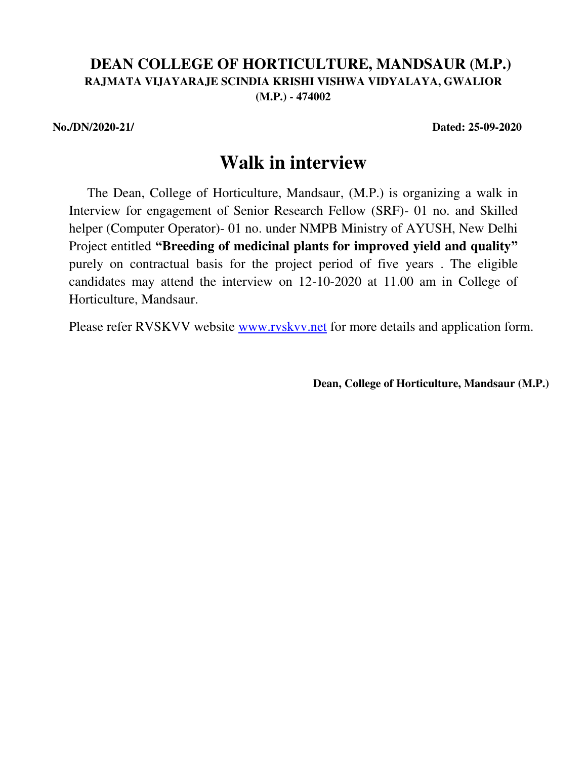### **DEAN COLLEGE OF HORTICULTURE, MANDSAUR (M.P.) RAJMATA VIJAYARAJE SCINDIA KRISHI VISHWA VIDYALAYA, GWALIOR (M.P.) - 474002**

**No./DN/2020-21/ Dated: 25-09-2020** 

# **Walk in interview**

The Dean, College of Horticulture, Mandsaur, (M.P.) is organizing a walk in Interview for engagement of Senior Research Fellow (SRF)- 01 no. and Skilled helper (Computer Operator)- 01 no. under NMPB Ministry of AYUSH, New Delhi Project entitled **"Breeding of medicinal plants for improved yield and quality"** purely on contractual basis for the project period of five years . The eligible candidates may attend the interview on 12-10-2020 at 11.00 am in College of Horticulture, Mandsaur.

Please refer RVSKVV website [www.rvskvv.net f](http://www.rvskvv.net/)or more details and application form.

**Dean, College of Horticulture, Mandsaur (M.P.)**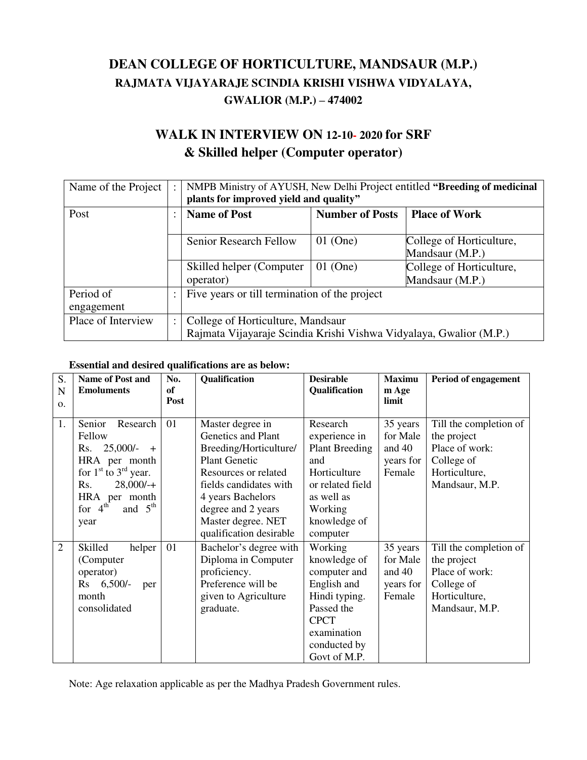# **DEAN COLLEGE OF HORTICULTURE, MANDSAUR (M.P.) RAJMATA VIJAYARAJE SCINDIA KRISHI VISHWA VIDYALAYA, GWALIOR (M.P.) – 474002**

# **WALK IN INTERVIEW ON 12-10- 2020 for SRF & Skilled helper (Computer operator)**

| Name of the Project     | $\ddot{\cdot}$ | NMPB Ministry of AYUSH, New Delhi Project entitled "Breeding of medicinal<br>plants for improved yield and quality" |                        |                                             |  |
|-------------------------|----------------|---------------------------------------------------------------------------------------------------------------------|------------------------|---------------------------------------------|--|
| Post                    | $\bullet$      | <b>Name of Post</b>                                                                                                 | <b>Number of Posts</b> | <b>Place of Work</b>                        |  |
|                         |                | Senior Research Fellow                                                                                              | $01$ (One)             | College of Horticulture,<br>Mandsaur (M.P.) |  |
|                         |                | Skilled helper (Computer<br>operator)                                                                               | $01$ (One)             | College of Horticulture,<br>Mandsaur (M.P.) |  |
| Period of<br>engagement | $\ddot{\cdot}$ | Five years or till termination of the project                                                                       |                        |                                             |  |
| Place of Interview      | $\ddot{\cdot}$ | College of Horticulture, Mandsaur<br>Rajmata Vijayaraje Scindia Krishi Vishwa Vidyalaya, Gwalior (M.P.)             |                        |                                             |  |

#### **Essential and desired qualifications are as below:**

| S.<br>N<br>$\mathbf{O}$ . | <b>Name of Post and</b><br><b>Emoluments</b>                                                                                                                                     | No.<br>of<br>Post | Qualification                                                                                                                                                                                                                          | <b>Desirable</b><br>Qualification                                                                                                                   | <b>Maximu</b><br>m Age<br>limit                         | Period of engagement                                                                                     |
|---------------------------|----------------------------------------------------------------------------------------------------------------------------------------------------------------------------------|-------------------|----------------------------------------------------------------------------------------------------------------------------------------------------------------------------------------------------------------------------------------|-----------------------------------------------------------------------------------------------------------------------------------------------------|---------------------------------------------------------|----------------------------------------------------------------------------------------------------------|
| 1.                        | Senior<br>Research<br>Fellow<br>$25,000/-$<br>Rs.<br>$+$<br>HRA per month<br>for $1st$ to $3rd$ year.<br>$28,000/+$<br>Rs.<br>HRA per month<br>for $4^{th}$<br>and $5th$<br>year | 01                | Master degree in<br>Genetics and Plant<br>Breeding/Horticulture/<br><b>Plant Genetic</b><br>Resources or related<br>fields candidates with<br>4 years Bachelors<br>degree and 2 years<br>Master degree. NET<br>qualification desirable | Research<br>experience in<br><b>Plant Breeding</b><br>and<br>Horticulture<br>or related field<br>as well as<br>Working<br>knowledge of<br>computer  | 35 years<br>for Male<br>and 40<br>years for<br>Female   | Till the completion of<br>the project<br>Place of work:<br>College of<br>Horticulture,<br>Mandsaur, M.P. |
| $\overline{2}$            | Skilled<br>helper<br>(Computer)<br>operator)<br>$6,500/-$<br>$\rm Rs$<br>per<br>month<br>consolidated                                                                            | 01                | Bachelor's degree with<br>Diploma in Computer<br>proficiency.<br>Preference will be<br>given to Agriculture<br>graduate.                                                                                                               | Working<br>knowledge of<br>computer and<br>English and<br>Hindi typing.<br>Passed the<br><b>CPCT</b><br>examination<br>conducted by<br>Govt of M.P. | 35 years<br>for Male<br>and $40$<br>years for<br>Female | Till the completion of<br>the project<br>Place of work:<br>College of<br>Horticulture,<br>Mandsaur, M.P. |

Note: Age relaxation applicable as per the Madhya Pradesh Government rules.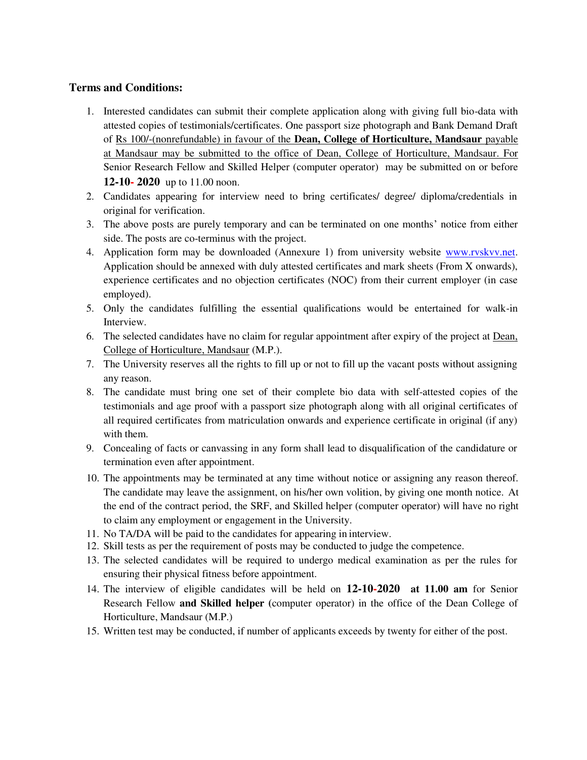#### **Terms and Conditions:**

- 1. Interested candidates can submit their complete application along with giving full bio-data with attested copies of testimonials/certificates. One passport size photograph and Bank Demand Draft of Rs 100/-(nonrefundable) in favour of the **Dean, College of Horticulture, Mandsaur** payable at Mandsaur may be submitted to the office of Dean, College of Horticulture, Mandsaur. For Senior Research Fellow and Skilled Helper (computer operator) may be submitted on or before **12-10- 2020** up to 11.00 noon.
- 2. Candidates appearing for interview need to bring certificates/ degree/ diploma/credentials in original for verification.
- 3. The above posts are purely temporary and can be terminated on one months' notice from either side. The posts are co-terminus with the project.
- 4. Application form may be downloaded (Annexure 1) from university website [www.rvskvv.net.](http://www.rvskvv.net/)  Application should be annexed with duly attested certificates and mark sheets (From X onwards), experience certificates and no objection certificates (NOC) from their current employer (in case employed).
- 5. Only the candidates fulfilling the essential qualifications would be entertained for walk-in Interview.
- 6. The selected candidates have no claim for regular appointment after expiry of the project at Dean, College of Horticulture, Mandsaur (M.P.).
- 7. The University reserves all the rights to fill up or not to fill up the vacant posts without assigning any reason.
- 8. The candidate must bring one set of their complete bio data with self-attested copies of the testimonials and age proof with a passport size photograph along with all original certificates of all required certificates from matriculation onwards and experience certificate in original (if any) with them.
- 9. Concealing of facts or canvassing in any form shall lead to disqualification of the candidature or termination even after appointment.
- 10. The appointments may be terminated at any time without notice or assigning any reason thereof. The candidate may leave the assignment, on his/her own volition, by giving one month notice. At the end of the contract period, the SRF, and Skilled helper (computer operator) will have no right to claim any employment or engagement in the University.
- 11. No TA/DA will be paid to the candidates for appearing in interview.
- 12. Skill tests as per the requirement of posts may be conducted to judge the competence.
- 13. The selected candidates will be required to undergo medical examination as per the rules for ensuring their physical fitness before appointment.
- 14. The interview of eligible candidates will be held on **12-10-2020 at 11.00 am** for Senior Research Fellow **and Skilled helper (**computer operator) in the office of the Dean College of Horticulture, Mandsaur (M.P.)
- 15. Written test may be conducted, if number of applicants exceeds by twenty for either of the post.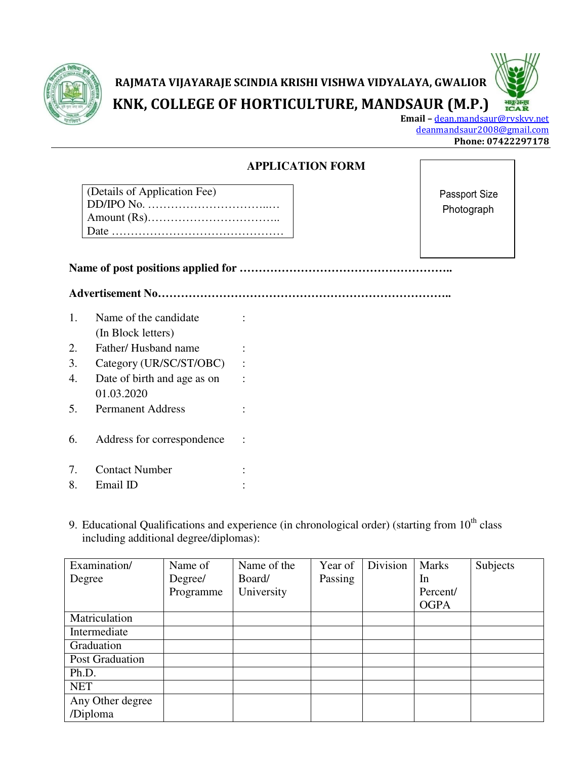

# **RAJMATA VIJAYARAJE SCINDIA KRISHI VISHWA VIDYALAYA, GWALIOR KNK, COLLEGE OF HORTICULTURE, MANDSAUR (M.P.)**

**Email –** [dean.mandsaur@rvskvv.net](mailto:dean.mandsaur@rvskvv.net) [deanmandsaur2008@gmail.com](mailto:deanmandsaur2008@gmail.com) **Phone: 07422297178**

भाकुअनुप<br>ICA R

### **APPLICATION FORM**

| (Details of Application Fee) |
|------------------------------|
|                              |
|                              |
|                              |

Passport Size Photograph

**Name of post positions applied for ………………………………………………..**

**Advertisement No…………………………………………………………………..**

- 1. Name of the candidate : (In Block letters) 2. Father/ Husband name 3. Category (UR/SC/ST/OBC) : 4. Date of birth and age as on : 01.03.2020 5. Permanent Address : 6. Address for correspondence : 7. Contact Number :
- 8. Email ID :
- 9. Educational Qualifications and experience (in chronological order) (starting from  $10<sup>th</sup>$  class including additional degree/diplomas):

| Examination/                 | Name of   | Name of the | Year of | Division | <b>Marks</b> | Subjects |
|------------------------------|-----------|-------------|---------|----------|--------------|----------|
| Degree                       | Degree/   | Board/      | Passing |          | In           |          |
|                              | Programme | University  |         |          | Percent/     |          |
|                              |           |             |         |          | <b>OGPA</b>  |          |
| Matriculation                |           |             |         |          |              |          |
| Intermediate                 |           |             |         |          |              |          |
| Graduation                   |           |             |         |          |              |          |
| Post Graduation              |           |             |         |          |              |          |
| Ph.D.                        |           |             |         |          |              |          |
| <b>NET</b>                   |           |             |         |          |              |          |
| Any Other degree<br>/Diploma |           |             |         |          |              |          |